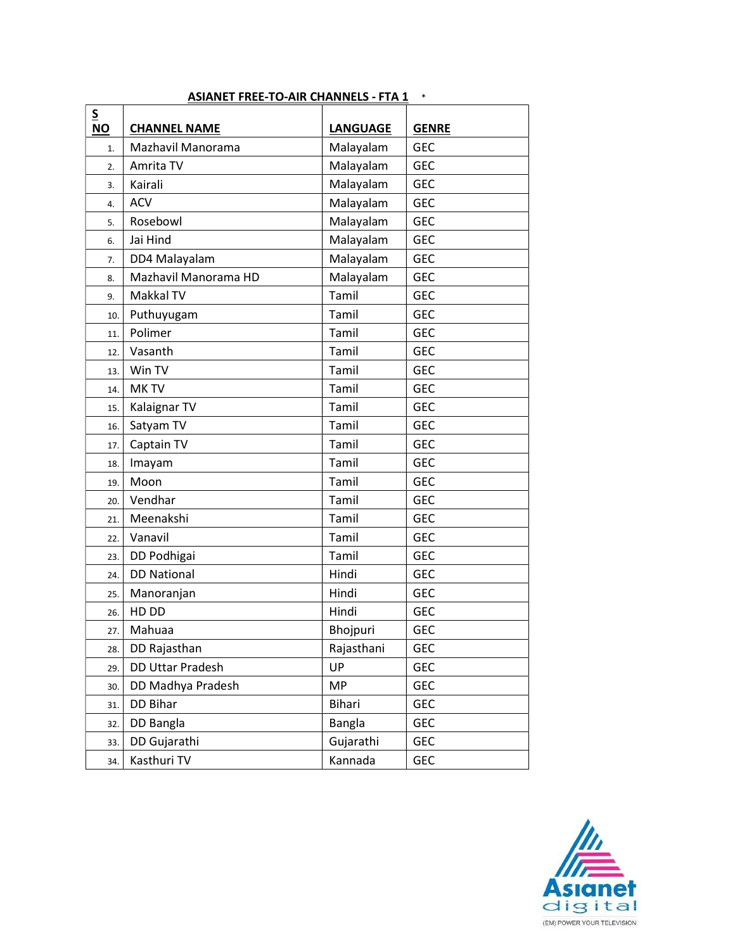| $\overline{\mathsf{S}}$ |                      |                 |              |
|-------------------------|----------------------|-----------------|--------------|
| <b>NO</b>               | <b>CHANNEL NAME</b>  | <b>LANGUAGE</b> | <b>GENRE</b> |
| 1.                      | Mazhavil Manorama    | Malayalam       | <b>GEC</b>   |
| 2.                      | Amrita TV            | Malayalam       | <b>GEC</b>   |
| 3.                      | Kairali              | Malayalam       | <b>GEC</b>   |
| 4.                      | <b>ACV</b>           | Malayalam       | <b>GEC</b>   |
| 5.                      | Rosebowl             | Malayalam       | <b>GEC</b>   |
| 6.                      | Jai Hind             | Malayalam       | <b>GEC</b>   |
| 7.                      | DD4 Malayalam        | Malayalam       | <b>GEC</b>   |
| 8.                      | Mazhavil Manorama HD | Malayalam       | <b>GEC</b>   |
| 9.                      | Makkal TV            | Tamil           | <b>GEC</b>   |
| 10.                     | Puthuyugam           | Tamil           | <b>GEC</b>   |
| 11.                     | Polimer              | Tamil           | <b>GEC</b>   |
| 12.                     | Vasanth              | Tamil           | <b>GEC</b>   |
| 13.                     | Win TV               | Tamil           | <b>GEC</b>   |
| 14.                     | MK TV                | Tamil           | <b>GEC</b>   |
| 15.                     | Kalaignar TV         | Tamil           | <b>GEC</b>   |
| 16.                     | Satyam TV            | Tamil           | <b>GEC</b>   |
| 17.                     | Captain TV           | Tamil           | <b>GEC</b>   |
| 18.                     | Imayam               | Tamil           | <b>GEC</b>   |
| 19.                     | Moon                 | Tamil           | <b>GEC</b>   |
| 20.                     | Vendhar              | Tamil           | <b>GEC</b>   |
| 21.                     | Meenakshi            | Tamil           | <b>GEC</b>   |
| 22.                     | Vanavil              | Tamil           | <b>GEC</b>   |
| 23.                     | DD Podhigai          | Tamil           | <b>GEC</b>   |
| 24.                     | <b>DD National</b>   | Hindi           | <b>GEC</b>   |
| 25.                     | Manoranjan           | Hindi           | <b>GEC</b>   |
| 26.                     | HD DD                | Hindi           | <b>GEC</b>   |
| 27.                     | Mahuaa               | Bhojpuri        | <b>GEC</b>   |
| 28.                     | DD Rajasthan         | Rajasthani      | <b>GEC</b>   |
| 29.                     | DD Uttar Pradesh     | UP              | <b>GEC</b>   |
| 30.                     | DD Madhya Pradesh    | <b>MP</b>       | <b>GEC</b>   |
| 31.                     | DD Bihar             | <b>Bihari</b>   | <b>GEC</b>   |
| 32.                     | DD Bangla            | <b>Bangla</b>   | <b>GEC</b>   |
| 33.                     | DD Gujarathi         | Gujarathi       | <b>GEC</b>   |
| 34.                     | Kasthuri TV          | Kannada         | <b>GEC</b>   |

## ASIANET FREE-TO-AIR CHANNELS - FTA 1 \*

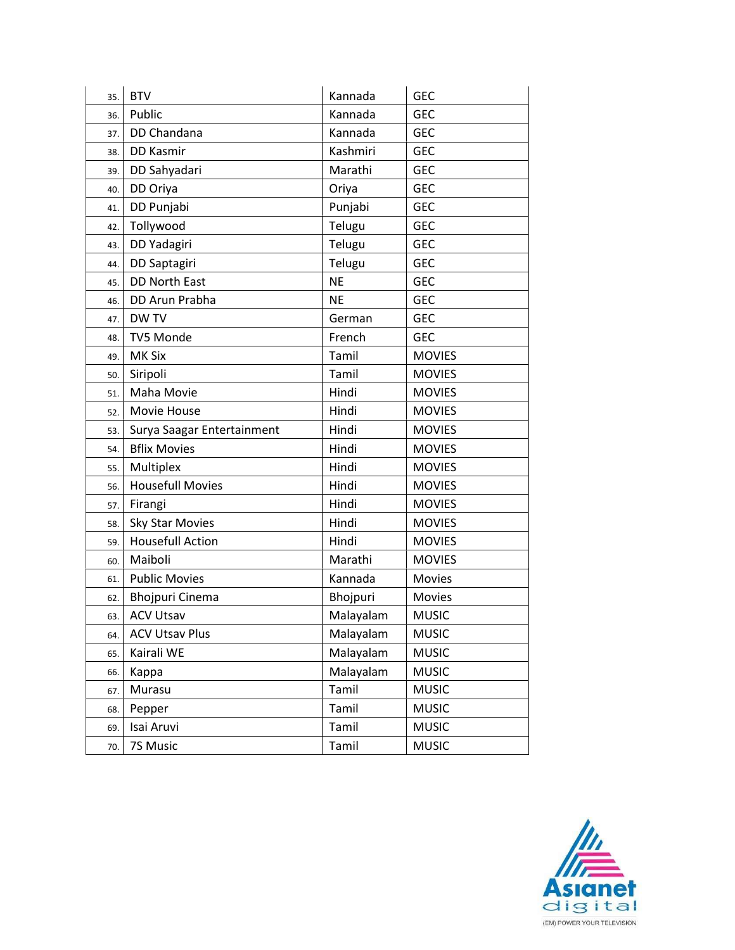| 35. | <b>BTV</b>                 | Kannada   | <b>GEC</b>    |
|-----|----------------------------|-----------|---------------|
| 36. | Public                     | Kannada   | <b>GEC</b>    |
| 37. | DD Chandana                | Kannada   | <b>GEC</b>    |
| 38. | DD Kasmir                  | Kashmiri  | <b>GEC</b>    |
| 39. | DD Sahyadari               | Marathi   | <b>GEC</b>    |
| 40. | DD Oriya                   | Oriya     | <b>GEC</b>    |
| 41. | DD Punjabi                 | Punjabi   | <b>GEC</b>    |
| 42. | Tollywood                  | Telugu    | <b>GEC</b>    |
| 43. | DD Yadagiri                | Telugu    | <b>GEC</b>    |
| 44. | DD Saptagiri               | Telugu    | <b>GEC</b>    |
| 45. | DD North East              | <b>NE</b> | <b>GEC</b>    |
| 46. | DD Arun Prabha             | <b>NE</b> | <b>GEC</b>    |
| 47. | DW TV                      | German    | <b>GEC</b>    |
| 48. | TV5 Monde                  | French    | <b>GEC</b>    |
| 49. | MK Six                     | Tamil     | <b>MOVIES</b> |
| 50. | Siripoli                   | Tamil     | <b>MOVIES</b> |
| 51. | Maha Movie                 | Hindi     | <b>MOVIES</b> |
| 52. | Movie House                | Hindi     | <b>MOVIES</b> |
| 53. | Surya Saagar Entertainment | Hindi     | <b>MOVIES</b> |
| 54. | <b>Bflix Movies</b>        | Hindi     | <b>MOVIES</b> |
| 55. | Multiplex                  | Hindi     | <b>MOVIES</b> |
| 56. | <b>Housefull Movies</b>    | Hindi     | <b>MOVIES</b> |
| 57. | Firangi                    | Hindi     | <b>MOVIES</b> |
| 58. | <b>Sky Star Movies</b>     | Hindi     | <b>MOVIES</b> |
| 59. | <b>Housefull Action</b>    | Hindi     | <b>MOVIES</b> |
| 60. | Maiboli                    | Marathi   | <b>MOVIES</b> |
| 61. | <b>Public Movies</b>       | Kannada   | <b>Movies</b> |
| 62. | <b>Bhojpuri Cinema</b>     | Bhojpuri  | <b>Movies</b> |
| 63. | <b>ACV Utsav</b>           | Malayalam | <b>MUSIC</b>  |
| 64. | <b>ACV Utsav Plus</b>      | Malayalam | <b>MUSIC</b>  |
| 65. | Kairali WE                 | Malayalam | <b>MUSIC</b>  |
| 66. | Kappa                      | Malayalam | <b>MUSIC</b>  |
| 67. | Murasu                     | Tamil     | <b>MUSIC</b>  |
| 68. | Pepper                     | Tamil     | <b>MUSIC</b>  |
| 69. | Isai Aruvi                 | Tamil     | <b>MUSIC</b>  |
| 70. | 7S Music                   | Tamil     | <b>MUSIC</b>  |

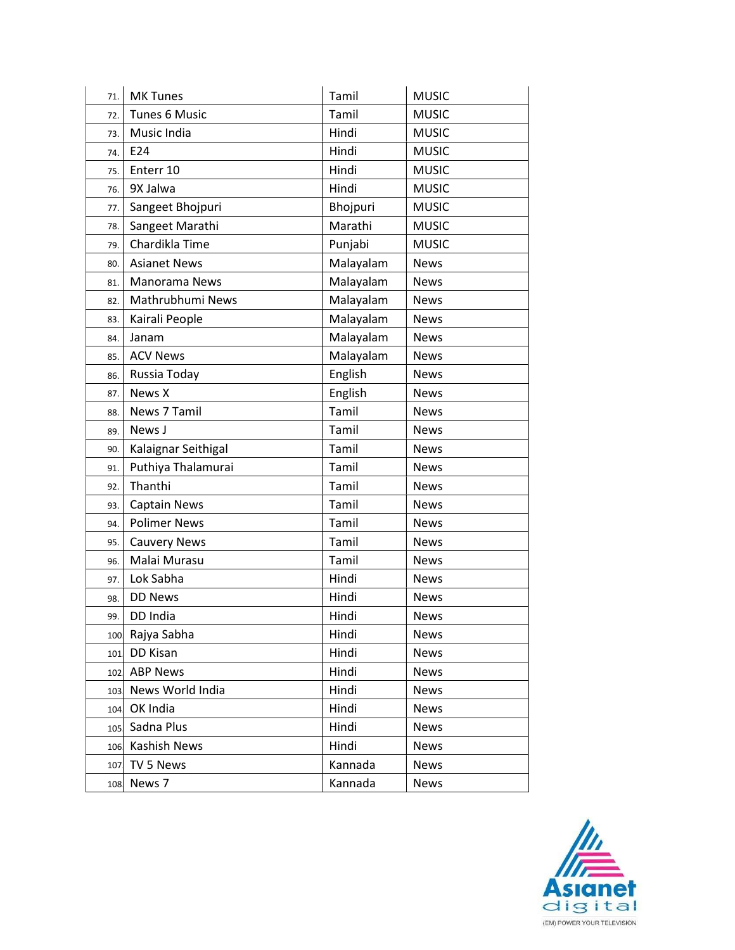| 71. | <b>MK Tunes</b>      | Tamil     | <b>MUSIC</b> |
|-----|----------------------|-----------|--------------|
| 72. | <b>Tunes 6 Music</b> | Tamil     | <b>MUSIC</b> |
| 73. | Music India          | Hindi     | <b>MUSIC</b> |
| 74. | E24                  | Hindi     | <b>MUSIC</b> |
| 75. | Enterr 10            | Hindi     | <b>MUSIC</b> |
| 76. | 9X Jalwa             | Hindi     | <b>MUSIC</b> |
| 77. | Sangeet Bhojpuri     | Bhojpuri  | <b>MUSIC</b> |
| 78. | Sangeet Marathi      | Marathi   | <b>MUSIC</b> |
| 79. | Chardikla Time       | Punjabi   | <b>MUSIC</b> |
| 80. | <b>Asianet News</b>  | Malayalam | <b>News</b>  |
| 81. | Manorama News        | Malayalam | <b>News</b>  |
| 82. | Mathrubhumi News     | Malayalam | <b>News</b>  |
| 83. | Kairali People       | Malayalam | <b>News</b>  |
| 84. | Janam                | Malayalam | <b>News</b>  |
| 85. | <b>ACV News</b>      | Malayalam | <b>News</b>  |
| 86. | Russia Today         | English   | <b>News</b>  |
| 87. | News X               | English   | <b>News</b>  |
| 88. | News 7 Tamil         | Tamil     | <b>News</b>  |
| 89. | News J               | Tamil     | <b>News</b>  |
| 90. | Kalaignar Seithigal  | Tamil     | <b>News</b>  |
| 91. | Puthiya Thalamurai   | Tamil     | <b>News</b>  |
| 92. | Thanthi              | Tamil     | <b>News</b>  |
| 93. | <b>Captain News</b>  | Tamil     | <b>News</b>  |
| 94. | <b>Polimer News</b>  | Tamil     | <b>News</b>  |
| 95. | <b>Cauvery News</b>  | Tamil     | <b>News</b>  |
| 96. | Malai Murasu         | Tamil     | <b>News</b>  |
| 97. | Lok Sabha            | Hindi     | <b>News</b>  |
| 98. | <b>DD News</b>       | Hindi     | <b>News</b>  |
| 99. | DD India             | Hindi     | <b>News</b>  |
| 100 | Rajya Sabha          | Hindi     | <b>News</b>  |
| 101 | DD Kisan             | Hindi     | <b>News</b>  |
| 102 | <b>ABP News</b>      | Hindi     | <b>News</b>  |
| 103 | News World India     | Hindi     | <b>News</b>  |
| 104 | OK India             | Hindi     | <b>News</b>  |
| 105 | Sadna Plus           | Hindi     | <b>News</b>  |
| 106 | Kashish News         | Hindi     | <b>News</b>  |
| 107 | TV 5 News            | Kannada   | <b>News</b>  |
| 108 | News 7               | Kannada   | <b>News</b>  |

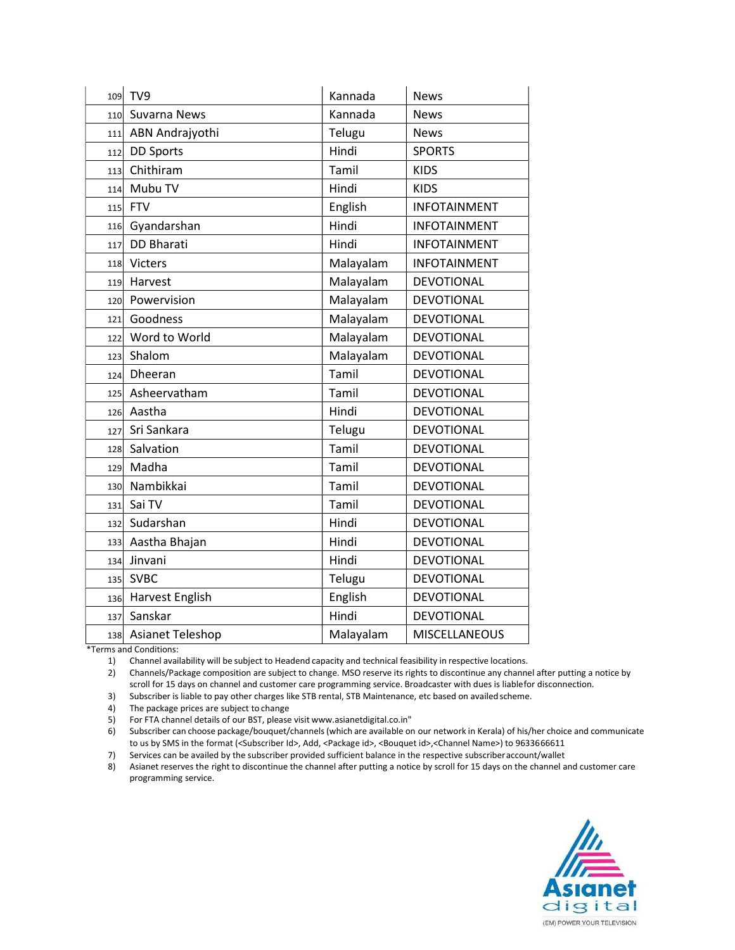|     | 109 TV9              | Kannada   | <b>News</b>          |
|-----|----------------------|-----------|----------------------|
|     | 110 Suvarna News     | Kannada   | <b>News</b>          |
| 111 | ABN Andrajyothi      | Telugu    | <b>News</b>          |
| 112 | <b>DD Sports</b>     | Hindi     | <b>SPORTS</b>        |
| 113 | Chithiram            | Tamil     | <b>KIDS</b>          |
| 114 | Mubu TV              | Hindi     | <b>KIDS</b>          |
|     | 115 FTV              | English   | <b>INFOTAINMENT</b>  |
|     | 116 Gyandarshan      | Hindi     | <b>INFOTAINMENT</b>  |
| 117 | <b>DD Bharati</b>    | Hindi     | <b>INFOTAINMENT</b>  |
|     | 118 Victers          | Malayalam | <b>INFOTAINMENT</b>  |
| 119 | Harvest              | Malayalam | DEVOTIONAL           |
|     | 120 Powervision      | Malayalam | <b>DEVOTIONAL</b>    |
| 121 | Goodness             | Malayalam | <b>DEVOTIONAL</b>    |
| 122 | Word to World        | Malayalam | DEVOTIONAL           |
| 123 | Shalom               | Malayalam | <b>DEVOTIONAL</b>    |
|     | 124 Dheeran          | Tamil     | <b>DEVOTIONAL</b>    |
|     | 125 Asheervatham     | Tamil     | <b>DEVOTIONAL</b>    |
|     | 126 Aastha           | Hindi     | <b>DEVOTIONAL</b>    |
| 127 | Sri Sankara          | Telugu    | <b>DEVOTIONAL</b>    |
|     | 128 Salvation        | Tamil     | <b>DEVOTIONAL</b>    |
|     | 129 Madha            | Tamil     | <b>DEVOTIONAL</b>    |
|     | 130 Nambikkai        | Tamil     | <b>DEVOTIONAL</b>    |
| 131 | Sai TV               | Tamil     | <b>DEVOTIONAL</b>    |
| 132 | Sudarshan            | Hindi     | <b>DEVOTIONAL</b>    |
| 133 | Aastha Bhajan        | Hindi     | <b>DEVOTIONAL</b>    |
| 134 | Jinvani              | Hindi     | <b>DEVOTIONAL</b>    |
| 135 | <b>SVBC</b>          | Telugu    | <b>DEVOTIONAL</b>    |
|     | 136 Harvest English  | English   | <b>DEVOTIONAL</b>    |
| 137 | Sanskar              | Hindi     | <b>DEVOTIONAL</b>    |
|     | 138 Asianet Teleshop | Malayalam | <b>MISCELLANEOUS</b> |

\*Terms and Conditions:

1) Channel availability will be subject to Headend capacity and technical feasibility in respective locations.

2) Channels/Package composition are subject to change. MSO reserve its rights to discontinue any channel after putting a notice by scroll for 15 days on channel and customer care programming service. Broadcaster with dues is liable for disconnection.

3) Subscriber is liable to pay other charges like STB rental, STB Maintenance, etc based on availed scheme.

4) The package prices are subject to change

5) For FTA channel details of our BST, please visit www.asianetdigital.co.in"

6) Subscriber can choose package/bouquet/channels (which are available on our network in Kerala) of his/her choice and communicate to us by SMS in the format (<Subscriber Id>, Add, <Package id>, <Bouquet id>,<Channel Name>) to 9633666611

7) Services can be availed by the subscriber provided sufficient balance in the respective subscriber account/wallet

8) Asianet reserves the right to discontinue the channel after putting a notice by scroll for 15 days on the channel and customer care programming service.

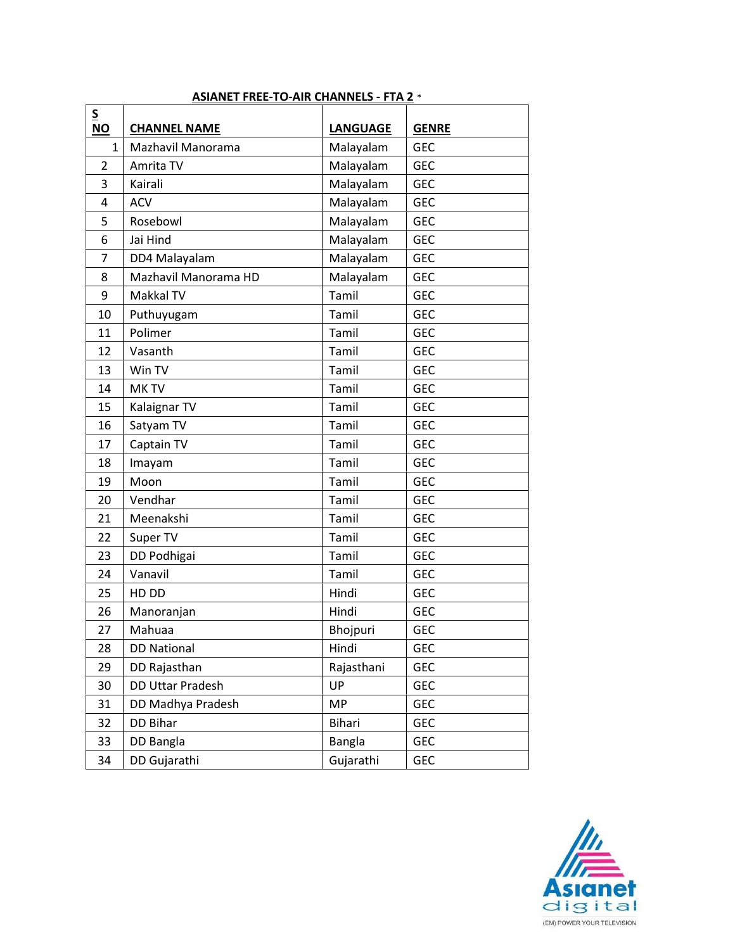| $\frac{S}{NO}$ | <b>CHANNEL NAME</b>  | <b>LANGUAGE</b> | <b>GENRE</b> |
|----------------|----------------------|-----------------|--------------|
| $\mathbf{1}$   | Mazhavil Manorama    | Malayalam       | <b>GEC</b>   |
| $\overline{2}$ | Amrita TV            | Malayalam       | <b>GEC</b>   |
| 3              | Kairali              | Malayalam       | <b>GEC</b>   |
| 4              | <b>ACV</b>           | Malayalam       | <b>GEC</b>   |
| 5              | Rosebowl             | Malayalam       | <b>GEC</b>   |
| 6              | Jai Hind             | Malayalam       | <b>GEC</b>   |
| 7              | DD4 Malayalam        | Malayalam       | <b>GEC</b>   |
| 8              | Mazhavil Manorama HD | Malayalam       | <b>GEC</b>   |
| 9              | Makkal TV            | Tamil           | <b>GEC</b>   |
| 10             | Puthuyugam           | Tamil           | <b>GEC</b>   |
| 11             | Polimer              | Tamil           | <b>GEC</b>   |
| 12             | Vasanth              | Tamil           | <b>GEC</b>   |
| 13             | Win TV               | Tamil           | <b>GEC</b>   |
| 14             | <b>MKTV</b>          | Tamil           | <b>GEC</b>   |
| 15             | Kalaignar TV         | Tamil           | <b>GEC</b>   |
| 16             | Satyam TV            | Tamil           | <b>GEC</b>   |
| 17             | Captain TV           | Tamil           | <b>GEC</b>   |
| 18             | Imayam               | Tamil           | <b>GEC</b>   |
| 19             | Moon                 | Tamil           | <b>GEC</b>   |
| 20             | Vendhar              | Tamil           | <b>GEC</b>   |
| 21             | Meenakshi            | Tamil           | <b>GEC</b>   |
| 22             | Super TV             | Tamil           | <b>GEC</b>   |
| 23             | DD Podhigai          | Tamil           | <b>GEC</b>   |
| 24             | Vanavil              | Tamil           | <b>GEC</b>   |
| 25             | HD DD                | Hindi           | <b>GEC</b>   |
| 26             | Manoranjan           | Hindi           | <b>GEC</b>   |
| 27             | Mahuaa               | Bhojpuri        | <b>GEC</b>   |
| 28             | <b>DD National</b>   | Hindi           | GEC          |
| 29             | DD Rajasthan         | Rajasthani      | <b>GEC</b>   |
| 30             | DD Uttar Pradesh     | UP              | <b>GEC</b>   |
| 31             | DD Madhya Pradesh    | MP              | <b>GEC</b>   |
| 32             | DD Bihar             | Bihari          | <b>GEC</b>   |
| 33             | DD Bangla            | Bangla          | GEC          |
| 34             | DD Gujarathi         | Gujarathi       | <b>GEC</b>   |

## ASIANET FREE-TO-AIR CHANNELS - FTA 2 \*

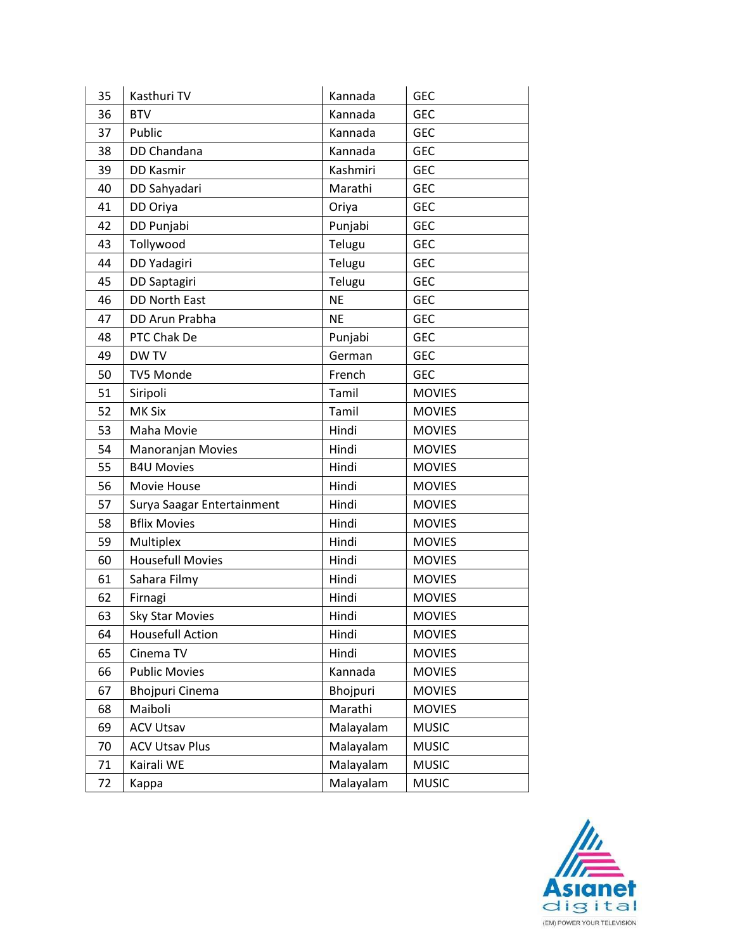| 35 | Kasthuri TV                | Kannada   | <b>GEC</b>    |
|----|----------------------------|-----------|---------------|
| 36 | <b>BTV</b>                 | Kannada   | <b>GEC</b>    |
| 37 | Public                     | Kannada   | <b>GEC</b>    |
| 38 | DD Chandana                | Kannada   | <b>GEC</b>    |
| 39 | <b>DD Kasmir</b>           | Kashmiri  | <b>GEC</b>    |
| 40 | DD Sahyadari               | Marathi   | <b>GEC</b>    |
| 41 | DD Oriya                   | Oriya     | <b>GEC</b>    |
| 42 | DD Punjabi                 | Punjabi   | <b>GEC</b>    |
| 43 | Tollywood                  | Telugu    | <b>GEC</b>    |
| 44 | DD Yadagiri                | Telugu    | <b>GEC</b>    |
| 45 | DD Saptagiri               | Telugu    | <b>GEC</b>    |
| 46 | <b>DD North East</b>       | <b>NE</b> | <b>GEC</b>    |
| 47 | DD Arun Prabha             | <b>NE</b> | <b>GEC</b>    |
| 48 | PTC Chak De                | Punjabi   | <b>GEC</b>    |
| 49 | <b>DWTV</b>                | German    | <b>GEC</b>    |
| 50 | TV5 Monde                  | French    | <b>GEC</b>    |
| 51 | Siripoli                   | Tamil     | <b>MOVIES</b> |
| 52 | <b>MK Six</b>              | Tamil     | <b>MOVIES</b> |
| 53 | Maha Movie                 | Hindi     | <b>MOVIES</b> |
| 54 | Manoranjan Movies          | Hindi     | <b>MOVIES</b> |
| 55 | <b>B4U Movies</b>          | Hindi     | <b>MOVIES</b> |
| 56 | Movie House                | Hindi     | <b>MOVIES</b> |
| 57 | Surya Saagar Entertainment | Hindi     | <b>MOVIES</b> |
| 58 | <b>Bflix Movies</b>        | Hindi     | <b>MOVIES</b> |
| 59 | Multiplex                  | Hindi     | <b>MOVIES</b> |
| 60 | <b>Housefull Movies</b>    | Hindi     | <b>MOVIES</b> |
| 61 | Sahara Filmy               | Hindi     | <b>MOVIES</b> |
| 62 | Firnagi                    | Hindi     | <b>MOVIES</b> |
| 63 | <b>Sky Star Movies</b>     | Hindi     | <b>MOVIES</b> |
| 64 | <b>Housefull Action</b>    | Hindi     | <b>MOVIES</b> |
| 65 | Cinema TV                  | Hindi     | <b>MOVIES</b> |
| 66 | <b>Public Movies</b>       | Kannada   | <b>MOVIES</b> |
| 67 | <b>Bhojpuri Cinema</b>     | Bhojpuri  | <b>MOVIES</b> |
| 68 | Maiboli                    | Marathi   | <b>MOVIES</b> |
| 69 | <b>ACV Utsav</b>           | Malayalam | <b>MUSIC</b>  |
| 70 | <b>ACV Utsav Plus</b>      | Malayalam | <b>MUSIC</b>  |
| 71 | Kairali WE                 | Malayalam | <b>MUSIC</b>  |
| 72 | Kappa                      | Malayalam | <b>MUSIC</b>  |

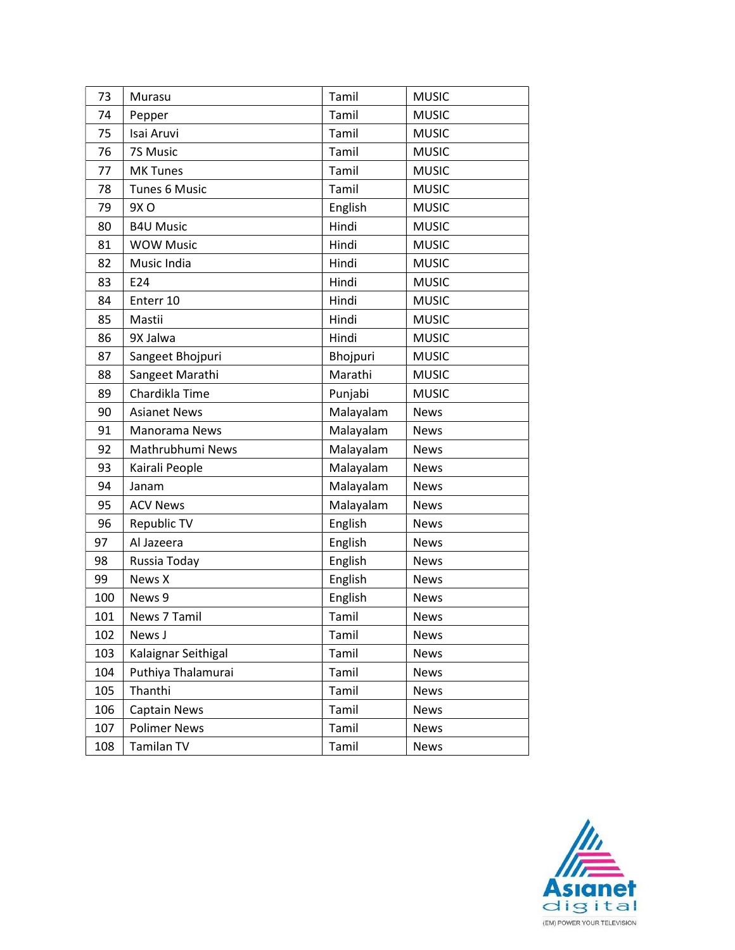| 73  | Murasu               | Tamil     | <b>MUSIC</b> |
|-----|----------------------|-----------|--------------|
| 74  | Pepper               | Tamil     | <b>MUSIC</b> |
| 75  | Isai Aruvi           | Tamil     | <b>MUSIC</b> |
| 76  | 7S Music             | Tamil     | <b>MUSIC</b> |
| 77  | <b>MK Tunes</b>      | Tamil     | <b>MUSIC</b> |
| 78  | <b>Tunes 6 Music</b> | Tamil     | <b>MUSIC</b> |
| 79  | 9X O                 | English   | <b>MUSIC</b> |
| 80  | <b>B4U Music</b>     | Hindi     | <b>MUSIC</b> |
| 81  | <b>WOW Music</b>     | Hindi     | <b>MUSIC</b> |
| 82  | Music India          | Hindi     | <b>MUSIC</b> |
| 83  | E24                  | Hindi     | <b>MUSIC</b> |
| 84  | Enterr 10            | Hindi     | <b>MUSIC</b> |
| 85  | Mastii               | Hindi     | <b>MUSIC</b> |
| 86  | 9X Jalwa             | Hindi     | <b>MUSIC</b> |
| 87  | Sangeet Bhojpuri     | Bhojpuri  | <b>MUSIC</b> |
| 88  | Sangeet Marathi      | Marathi   | <b>MUSIC</b> |
| 89  | Chardikla Time       | Punjabi   | <b>MUSIC</b> |
| 90  | <b>Asianet News</b>  | Malayalam | <b>News</b>  |
| 91  | Manorama News        | Malayalam | <b>News</b>  |
| 92  | Mathrubhumi News     | Malayalam | <b>News</b>  |
| 93  | Kairali People       | Malayalam | <b>News</b>  |
| 94  | Janam                | Malayalam | <b>News</b>  |
| 95  | <b>ACV News</b>      | Malayalam | <b>News</b>  |
| 96  | Republic TV          | English   | <b>News</b>  |
| 97  | Al Jazeera           | English   | <b>News</b>  |
| 98  | Russia Today         | English   | <b>News</b>  |
| 99  | News X               | English   | <b>News</b>  |
| 100 | News 9               | English   | <b>News</b>  |
| 101 | News 7 Tamil         | Tamil     | <b>News</b>  |
| 102 | News J               | Tamil     | <b>News</b>  |
| 103 | Kalaignar Seithigal  | Tamil     | <b>News</b>  |
| 104 | Puthiya Thalamurai   | Tamil     | News         |
| 105 | Thanthi              | Tamil     | <b>News</b>  |
| 106 | <b>Captain News</b>  | Tamil     | <b>News</b>  |
| 107 | <b>Polimer News</b>  | Tamil     | <b>News</b>  |
| 108 | Tamilan TV           | Tamil     | <b>News</b>  |

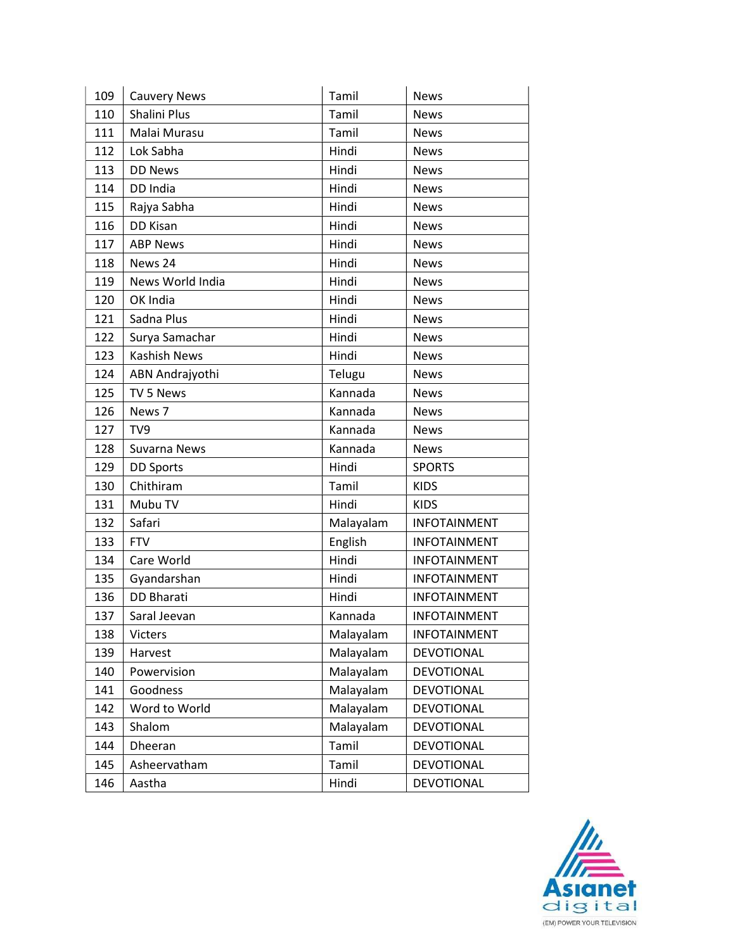| 109 | <b>Cauvery News</b> | Tamil     | <b>News</b>         |
|-----|---------------------|-----------|---------------------|
| 110 | Shalini Plus        | Tamil     | <b>News</b>         |
| 111 | Malai Murasu        | Tamil     | <b>News</b>         |
| 112 | Lok Sabha           | Hindi     | <b>News</b>         |
| 113 | <b>DD News</b>      | Hindi     | <b>News</b>         |
| 114 | DD India            | Hindi     | <b>News</b>         |
| 115 | Rajya Sabha         | Hindi     | <b>News</b>         |
| 116 | DD Kisan            | Hindi     | <b>News</b>         |
| 117 | <b>ABP News</b>     | Hindi     | <b>News</b>         |
| 118 | News 24             | Hindi     | <b>News</b>         |
| 119 | News World India    | Hindi     | <b>News</b>         |
| 120 | OK India            | Hindi     | <b>News</b>         |
| 121 | Sadna Plus          | Hindi     | <b>News</b>         |
| 122 | Surya Samachar      | Hindi     | <b>News</b>         |
| 123 | <b>Kashish News</b> | Hindi     | <b>News</b>         |
| 124 | ABN Andrajyothi     | Telugu    | <b>News</b>         |
| 125 | TV 5 News           | Kannada   | <b>News</b>         |
| 126 | News 7              | Kannada   | <b>News</b>         |
| 127 | TV9                 | Kannada   | <b>News</b>         |
| 128 | Suvarna News        | Kannada   | <b>News</b>         |
| 129 | <b>DD Sports</b>    | Hindi     | <b>SPORTS</b>       |
| 130 | Chithiram           | Tamil     | <b>KIDS</b>         |
| 131 | Mubu TV             | Hindi     | <b>KIDS</b>         |
| 132 | Safari              | Malayalam | <b>INFOTAINMENT</b> |
| 133 | <b>FTV</b>          | English   | <b>INFOTAINMENT</b> |
| 134 | Care World          | Hindi     | <b>INFOTAINMENT</b> |
| 135 | Gyandarshan         | Hindi     | <b>INFOTAINMENT</b> |
| 136 | <b>DD Bharati</b>   | Hindi     | <b>INFOTAINMENT</b> |
| 137 | Saral Jeevan        | Kannada   | <b>INFOTAINMENT</b> |
| 138 | Victers             | Malayalam | <b>INFOTAINMENT</b> |
| 139 | Harvest             | Malayalam | DEVOTIONAL          |
| 140 | Powervision         | Malayalam | <b>DEVOTIONAL</b>   |
| 141 | Goodness            | Malayalam | <b>DEVOTIONAL</b>   |
| 142 | Word to World       | Malayalam | <b>DEVOTIONAL</b>   |
| 143 | Shalom              | Malayalam | DEVOTIONAL          |
| 144 | Dheeran             | Tamil     | DEVOTIONAL          |
| 145 | Asheervatham        | Tamil     | <b>DEVOTIONAL</b>   |
| 146 | Aastha              | Hindi     | <b>DEVOTIONAL</b>   |